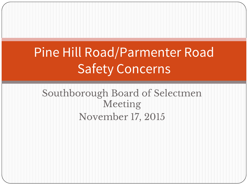## Pine Hill Road/Parmenter Road Safety Concerns

#### Southborough Board of Selectmen Meeting November 17, 2015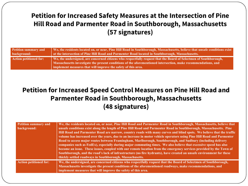#### **Petition for Increased Safety Measures at the Intersection of Pine Hill Road and Parmenter Road in Southborough, Massachusetts (57 signatures)**

| <b>Petition summary and</b>   | We, the residents located on, or near, Pine Hill Road in Southborough, Massachusetts, believe that unsafe conditions exist |
|-------------------------------|----------------------------------------------------------------------------------------------------------------------------|
| background:                   | at the intersection of Pine Hill Road and Parmenter Road located in Southborough, Massachusetts.                           |
| <b>Action petitioned for:</b> | We, the undersigned, are concerned citizens who respectfully request that the Board of Selectmen of Southborough,          |
|                               | Massachusetts investigate the present conditions of the aforementioned intersection, make recommendations, and             |
|                               | implement measures that will improve the safety of this area.                                                              |

#### **Petition for Increased Speed Control Measures on Pine Hill Road and Parmenter Road in Southborough, Massachusetts (48 signatures)**

| Petition summary and<br>background: | We, the residents located on, or near, Pine Hill Road and Parmenter Road in Southborough, Massachusetts, believe that<br>unsafe conditions exist along the length of Pine Hill Road and Parmenter Road in Southborough, Massachusetts. Pine<br>Hill Road and Parmenter Road are narrow, country roads with many curves and blind spots. We believe that the traffic<br>volume has increased over the years, due to an increase in motor vehicle operators using Pine Hill Road and Parmenter<br>Road to access major routes between Framingham, Marlborough, Southborough, and Sudbury (including delivery<br>companies such as FedEx), especially during major commuting times. We also believe that excessive speed has also<br>become an issue. These issues, coupled with our remote location from the emergency services provided by the Town of<br>Southborough, and the road's lack of infrastructure (no fire hydrants), have created an unsafe environment for these<br>thickly settled roadways in Southborough, Massachusetts. |
|-------------------------------------|-------------------------------------------------------------------------------------------------------------------------------------------------------------------------------------------------------------------------------------------------------------------------------------------------------------------------------------------------------------------------------------------------------------------------------------------------------------------------------------------------------------------------------------------------------------------------------------------------------------------------------------------------------------------------------------------------------------------------------------------------------------------------------------------------------------------------------------------------------------------------------------------------------------------------------------------------------------------------------------------------------------------------------------------|
| <b>Action petitioned for:</b>       | We, the undersigned, are concerned citizens who respectfully request that the Board of Selectmen of Southborough,<br>Massachusetts investigate the present conditions of the aforementioned roadways, make recommendations, and<br>implement measures that will improve the safety of this area.                                                                                                                                                                                                                                                                                                                                                                                                                                                                                                                                                                                                                                                                                                                                          |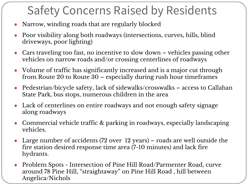#### Safety Concerns Raised by Residents

- Narrow, winding roads that are regularly blocked
- Poor visibility along both roadways (intersections, curves, hills, blind driveways, poor lighting)
- Cars traveling too fast, no incentive to slow down vehicles passing other vehicles on narrow roads and/or crossing centerlines of roadways
- Volume of traffic has significantly increased and is a major cut through from Route 20 to Route 30 – especially during rush hour timeframes
- Pedestrian/bicycle safety, lack of sidewalks/crosswalks access to Callahan State Park, bus stops, numerous children in the area
- Lack of centerlines on entire roadways and not enough safety signage along roadways
- Commercial vehicle traffic & parking in roadways, especially landscaping vehicles.
- Large number of accidents (72 over  $12$  years) roads are well outside the fire station desired response time area (7-10 minutes) and lack fire hydrants.
- Problem Spots Intersection of Pine Hill Road/Parmenter Road, curve around 78 Pine Hill, "straightaway" on Pine Hill Road , hill between Angelica/Nichols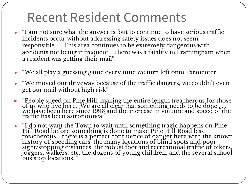#### Recent Resident Comments

- "I am not sure what the answer is, but to continue to have serious traffic incidents occur without addressing safety issues does not seem responsible. . . This area continues to be extremely dangerous with accidents not being infrequent. There was a fatality in Framingham when a resident was getting their mail"
- **●** "We all play a guessing game every time we turn left onto Parmenter"
- "We moved our driveway because of the traffic dangers, we couldn't even get our mail without high risk"
- "People speed on Pine Hill, making the entire length treacherous for those of us who live here. We are all clear that something needs to be done . . . we have been here since 1993 and the increase in volume and speed of the traffic has been astronomical"
- "I do not want the Town to wait until something tragic happens on Pine Hill Road before something is done to make Pine Hill Road less treacherous... there is a perfect confluence of danger here with the known history of speeding cars, the many locations of blind spots and poor sight/stopping distances, the robust foot and recreational traffic of bikers, joggers, walkers, etc, the dozens of young children, and the several school bus stop locations.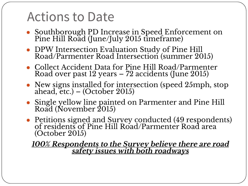#### Actions to Date

- Southborough PD Increase in Speed Enforcement on Pine Hill Road (June/July 2015 timeframe)
- DPW Intersection Evaluation Study of Pine Hill Road/Parmenter Road Intersection (summer 2015)
- Collect Accident Data for Pine Hill Road/Parmenter Road over past 12 years – 72 accidents (June 2015)
- New signs installed for intersection (speed 25mph, stop ahead, etc.)  $-$  (October 2015)
- Single yellow line painted on Parmenter and Pine Hill Road (November 2015)
- Petitions signed and Survey conducted (49 respondents) of residents of Pine Hill Road/Parmenter Road area (October 2015)

**100% Respondents to the Survey believe there are road safety issues with both roadways**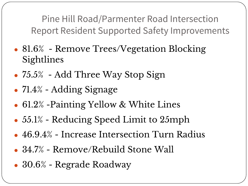Pine Hill Road/Parmenter Road Intersection Report Resident Supported Safety Improvements

- 81.6% Remove Trees/Vegetation Blocking Sightlines
- $\bullet$  75.5% Add Three Way Stop Sign
- $\bullet$  71.4% Adding Signage
- 61.2% Painting Yellow & White Lines
- $\bullet$  55.1% Reducing Speed Limit to 25mph
- 46.9.4% Increase Intersection Turn Radius
- $\bullet$  34.7% Remove/Rebuild Stone Wall
- 30.6% Regrade Roadway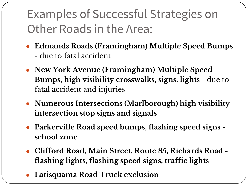#### Examples of Successful Strategies on Other Roads in the Area:

- **Edmands Roads (Framingham) Multiple Speed Bumps**  - due to fatal accident
- **New York Avenue (Framingham) Multiple Speed Bumps, high visibility crosswalks, signs, lights** - due to fatal accident and injuries
- **Numerous Intersections (Marlborough) high visibility intersection stop signs and signals**
- **Parkerville Road speed bumps, flashing speed signs school zone**
- **Clifford Road, Main Street, Route 85, Richards Road flashing lights, flashing speed signs, traffic lights**
- **Latisquama Road Truck exclusion**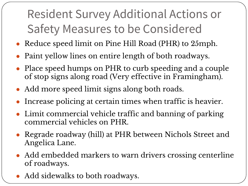## Resident Survey Additional Actions or Safety Measures to be Considered

- Reduce speed limit on Pine Hill Road (PHR) to 25mph.
- Paint yellow lines on entire length of both roadways.
- Place speed humps on PHR to curb speeding and a couple of stop signs along road (Very effective in Framingham).
- Add more speed limit signs along both roads.
- Increase policing at certain times when traffic is heavier.
- Limit commercial vehicle traffic and banning of parking commercial vehicles on PHR.
- Regrade roadway (hill) at PHR between Nichols Street and Angelica Lane.
- Add embedded markers to warn drivers crossing centerline of roadways.
- Add sidewalks to both roadways.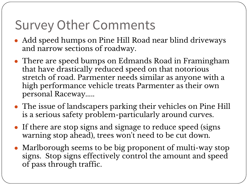#### Survey Other Comments

- Add speed humps on Pine Hill Road near blind driveways and narrow sections of roadway.
- There are speed bumps on Edmands Road in Framingham that have drastically reduced speed on that notorious stretch of road. Parmenter needs similar as anyone with a high performance vehicle treats Parmenter as their own personal Raceway.....
- The issue of landscapers parking their vehicles on Pine Hill is a serious safety problem-particularly around curves.
- If there are stop signs and signage to reduce speed (signs warning stop ahead), trees won't need to be cut down.
- Marlborough seems to be big proponent of multi-way stop signs. Stop signs effectively control the amount and speed of pass through traffic.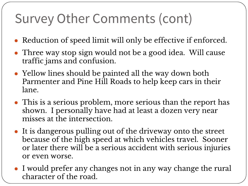### Survey Other Comments (cont)

- Reduction of speed limit will only be effective if enforced.
- Three way stop sign would not be a good idea. Will cause traffic jams and confusion.
- Yellow lines should be painted all the way down both Parmenter and Pine Hill Roads to help keep cars in their lane.
- This is a serious problem, more serious than the report has shown. I personally have had at least a dozen very near misses at the intersection.
- It is dangerous pulling out of the driveway onto the street because of the high speed at which vehicles travel. Sooner or later there will be a serious accident with serious injuries or even worse.
- I would prefer any changes not in any way change the rural character of the road.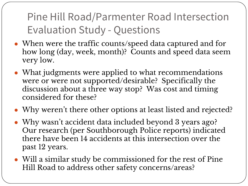Pine Hill Road/Parmenter Road Intersection Evaluation Study - Questions

- When were the traffic counts/speed data captured and for how long (day, week, month)? Counts and speed data seem very low.
- What judgments were applied to what recommendations were or were not supported/desirable? Specifically the discussion about a three way stop? Was cost and timing considered for these?
- Why weren't there other options at least listed and rejected?
- Why wasn't accident data included beyond 3 years ago? Our research (per Southborough Police reports) indicated there have been 14 accidents at this intersection over the past 12 years.
- Will a similar study be commissioned for the rest of Pine Hill Road to address other safety concerns/areas?